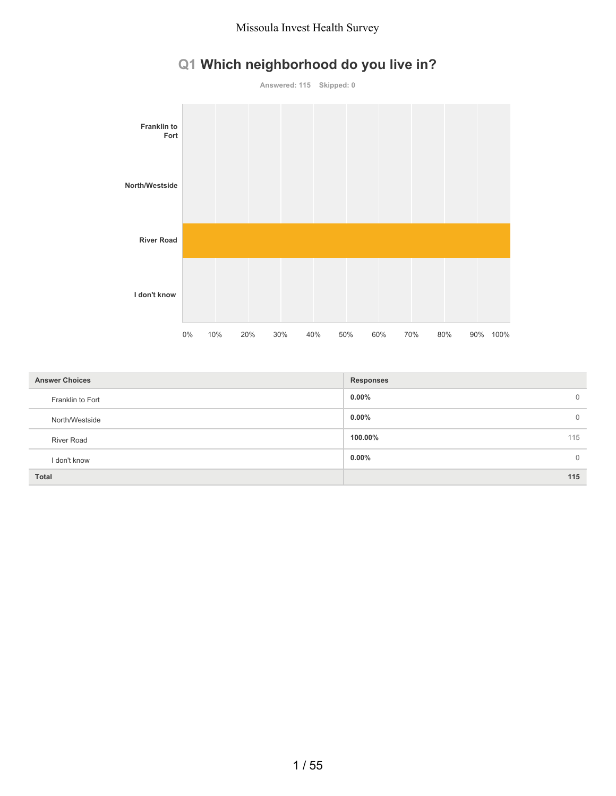# **Q1 Which neighborhood do you live in?**



| <b>Answer Choices</b> | <b>Responses</b>         |
|-----------------------|--------------------------|
| Franklin to Fort      | $0.00\%$<br>$\mathbf{0}$ |
| North/Westside        | $0.00\%$<br>$\mathbf{0}$ |
| <b>River Road</b>     | 115<br>100.00%           |
| I don't know          | $0.00\%$<br>$\Omega$     |
| <b>Total</b>          | 115                      |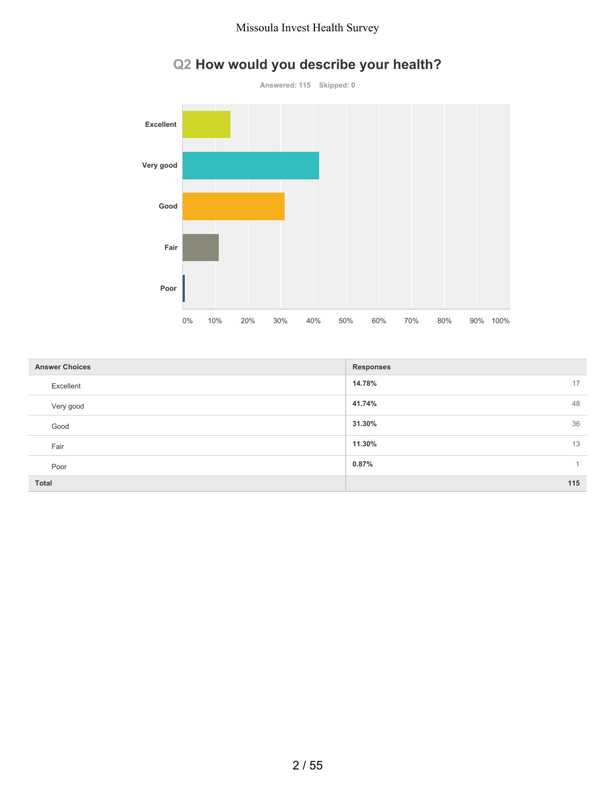

# **Q2 How would you describe your health?**

| <b>Answer Choices</b> | <b>Responses</b> |
|-----------------------|------------------|
| Excellent             | 14.78%<br>17     |
| Very good             | 41.74%<br>48     |
| Good                  | 36<br>31.30%     |
| Fair                  | 11.30%<br>13     |
| Poor                  | 0.87%            |
| <b>Total</b>          | 115              |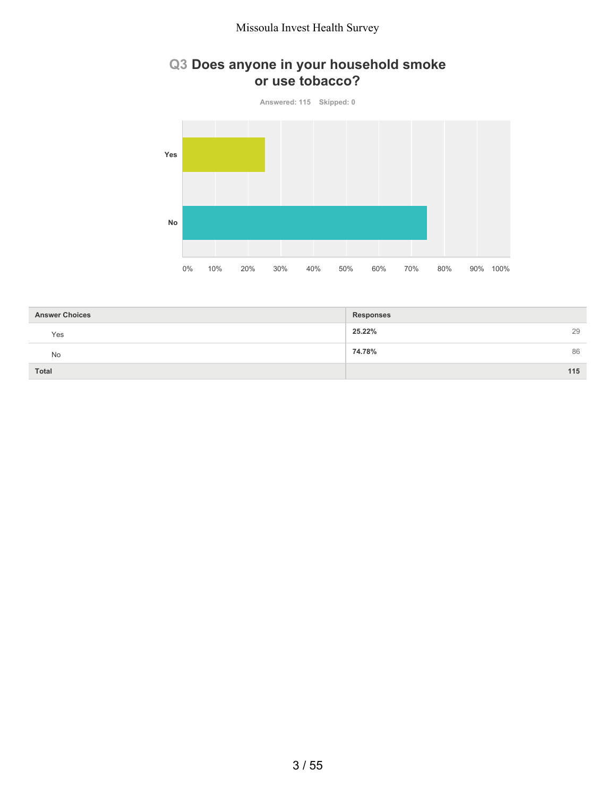## **Q3 Does anyone in your household smoke or use tobacco?**

**Answered: 115 Skipped: 0 Yes No** 0% 10% 20% 30% 40% 50% 60% 70% 80% 90% 100%

| <b>Answer Choices</b> | <b>Responses</b> |
|-----------------------|------------------|
| Yes                   | 25.22%<br>29     |
| <b>No</b>             | 74.78%<br>86     |
| <b>Total</b>          | 115              |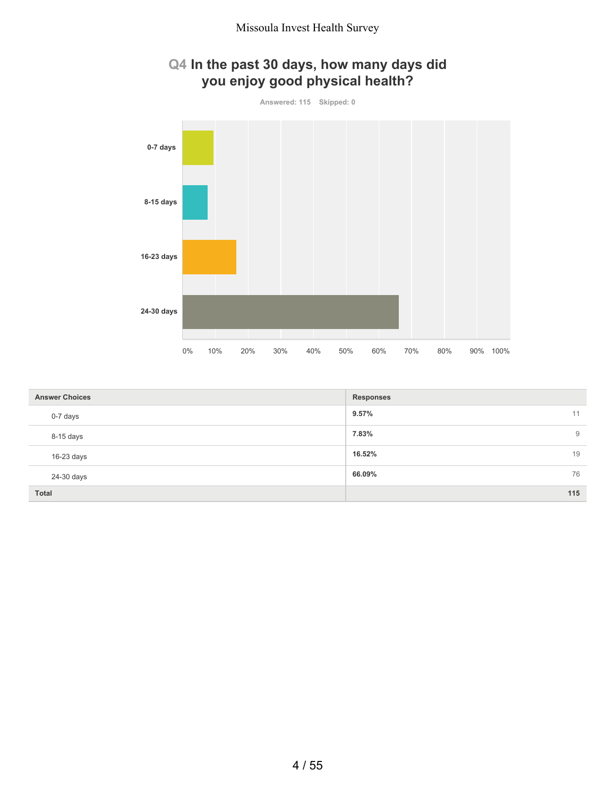

| <b>Answer Choices</b> | <b>Responses</b> |
|-----------------------|------------------|
| 0-7 days              | 9.57%<br>11      |
| 8-15 days             | 7.83%<br>9       |
| $16-23$ days          | 19<br>16.52%     |
| 24-30 days            | 76<br>66.09%     |
| <b>Total</b>          | 115              |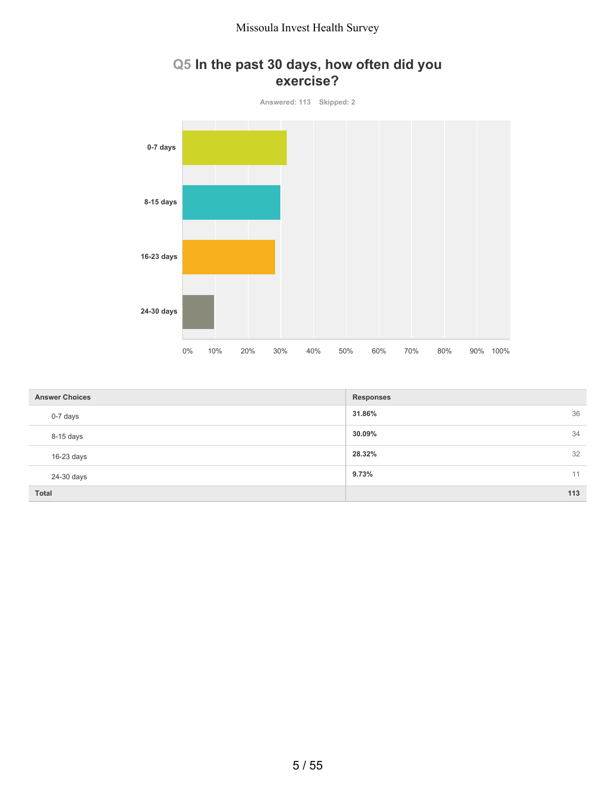## **Q5 In the past 30 days, how often did you exercise?**



| <b>Answer Choices</b> | <b>Responses</b> |
|-----------------------|------------------|
| 0-7 days              | 36<br>31.86%     |
| 8-15 days             | 34<br>30.09%     |
| $16-23$ days          | 32<br>28.32%     |
| 24-30 days            | 9.73%<br>11      |
| <b>Total</b>          | 113              |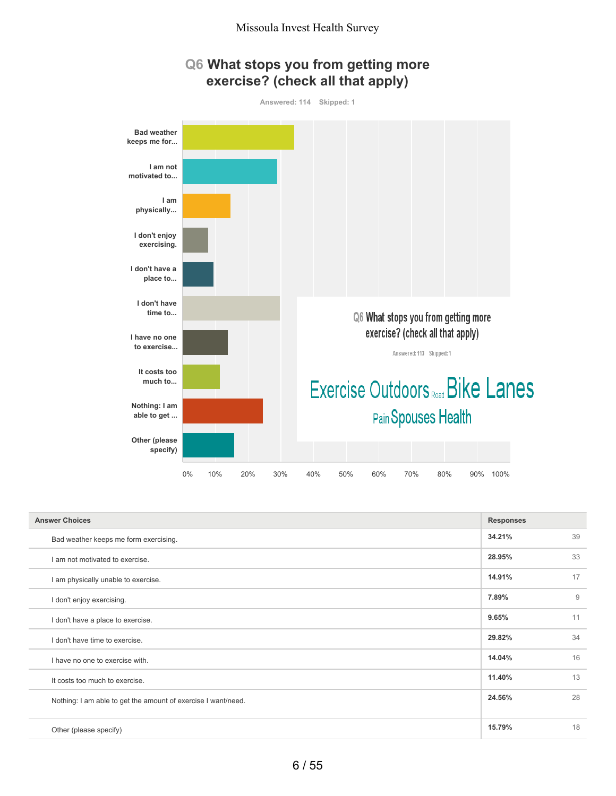



| <b>Answer Choices</b>                                         | <b>Responses</b> |    |
|---------------------------------------------------------------|------------------|----|
| Bad weather keeps me form exercising.                         | 34.21%           | 39 |
| I am not motivated to exercise.                               | 28.95%           | 33 |
| I am physically unable to exercise.                           | 14.91%           | 17 |
| I don't enjoy exercising.                                     | 7.89%            | 9  |
| I don't have a place to exercise.                             | 9.65%            | 11 |
| I don't have time to exercise.                                | 29.82%           | 34 |
| I have no one to exercise with.                               | 14.04%           | 16 |
| It costs too much to exercise.                                | 11.40%           | 13 |
| Nothing: I am able to get the amount of exercise I want/need. | 24.56%           | 28 |
|                                                               |                  |    |
| Other (please specify)                                        | 15.79%           | 18 |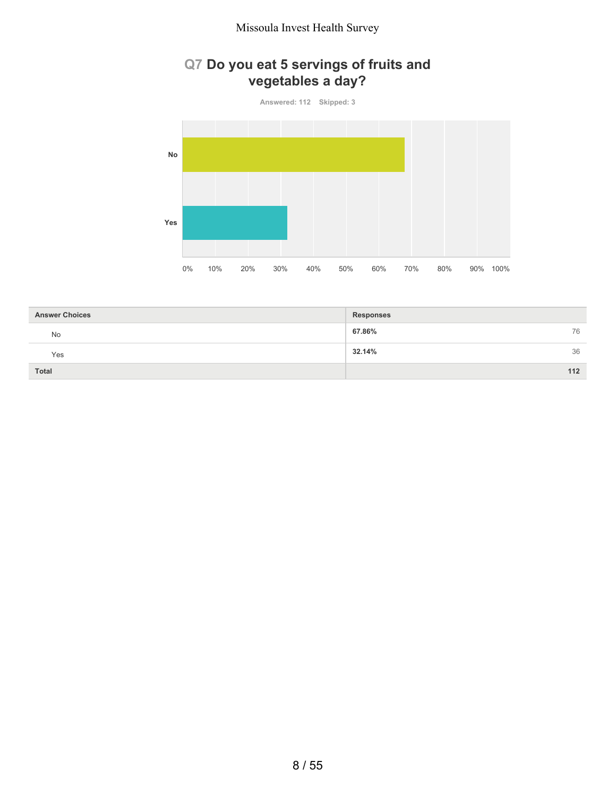# **Q7 Do you eat 5 servings of fruits and vegetables a day?**

**Answered: 112 Skipped: 3**



| <b>Answer Choices</b> | <b>Responses</b> |
|-----------------------|------------------|
| No                    | 67.86%<br>76     |
| Yes                   | 36<br>32.14%     |
| <b>Total</b>          | $112$            |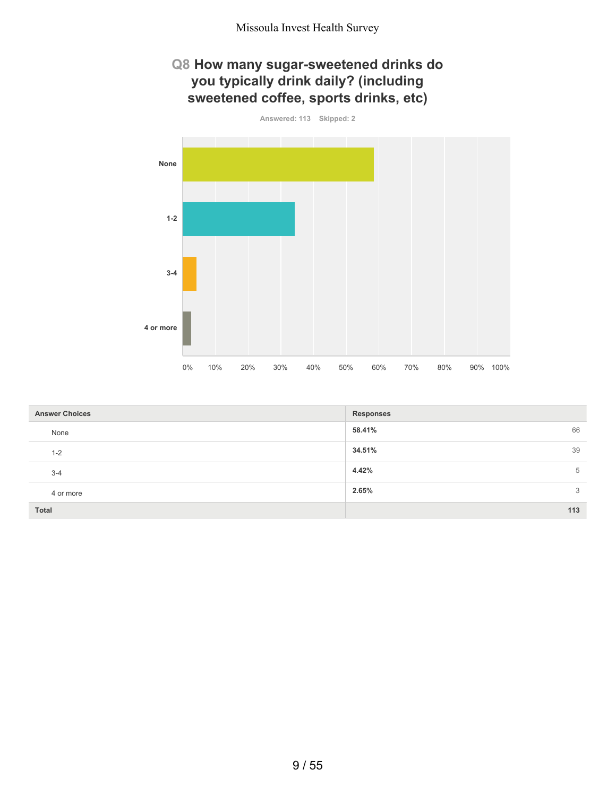## **Q8 How many sugar-sweetened drinks do you typically drink daily? (including sweetened coffee, sports drinks, etc)**



| <b>Answer Choices</b> | <b>Responses</b> |
|-----------------------|------------------|
| None                  | 58.41%<br>66     |
| $1 - 2$               | 39<br>34.51%     |
| $3-4$                 | 4.42%<br>5       |
| 4 or more             | 2.65%<br>3       |
| <b>Total</b>          | 113              |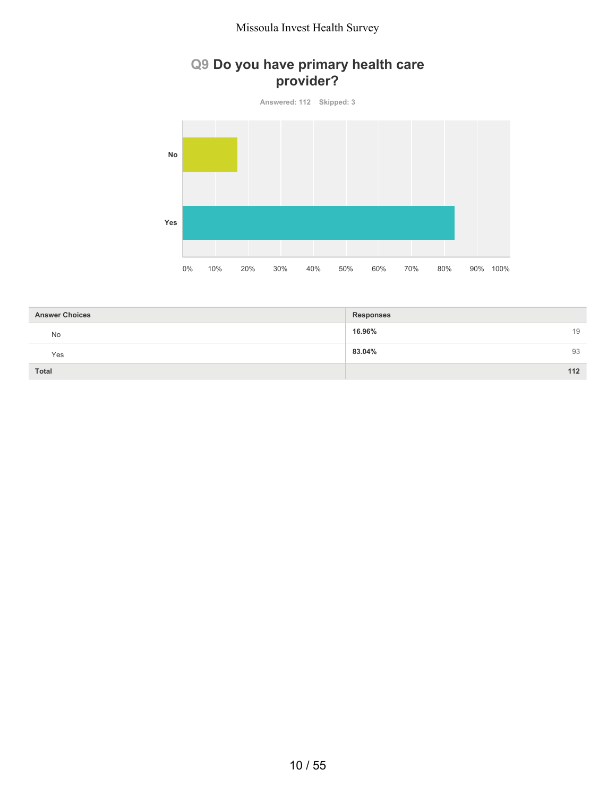## **Q9 Do you have primary health care provider?**

**Answered: 112 Skipped: 3**



| <b>Answer Choices</b> | <b>Responses</b> |
|-----------------------|------------------|
| No                    | 16.96%<br>19     |
| Yes                   | 83.04%<br>93     |
| <b>Total</b>          | 112              |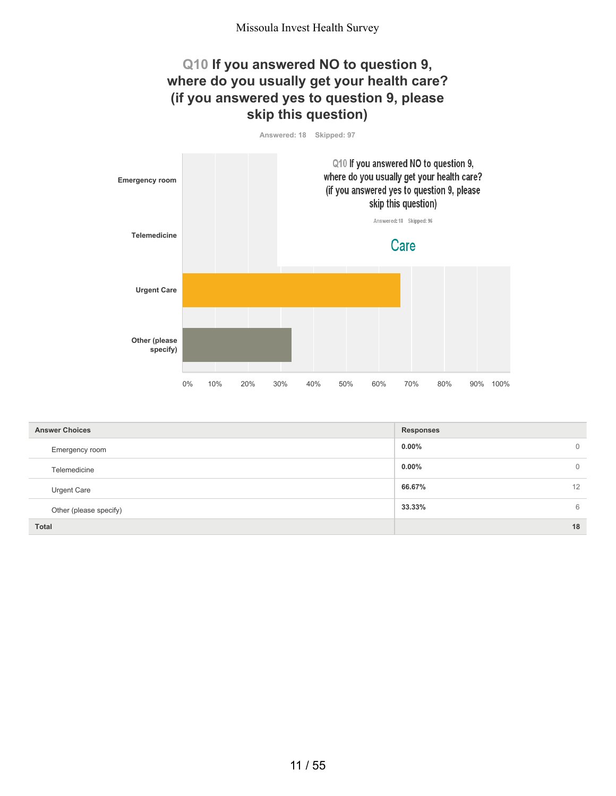## **Q10 If you answered NO to question 9, where do you usually get your health care? (if you answered yes to question 9, please skip this question)**

**Answered: 18 Skipped: 97**



| <b>Answer Choices</b>  | <b>Responses</b>           |
|------------------------|----------------------------|
| Emergency room         | $0.00\%$<br>$\overline{0}$ |
| Telemedicine           | $0.00\%$<br>$\circ$        |
| <b>Urgent Care</b>     | 66.67%<br>12               |
| Other (please specify) | 33.33%<br>6                |
| <b>Total</b>           | 18                         |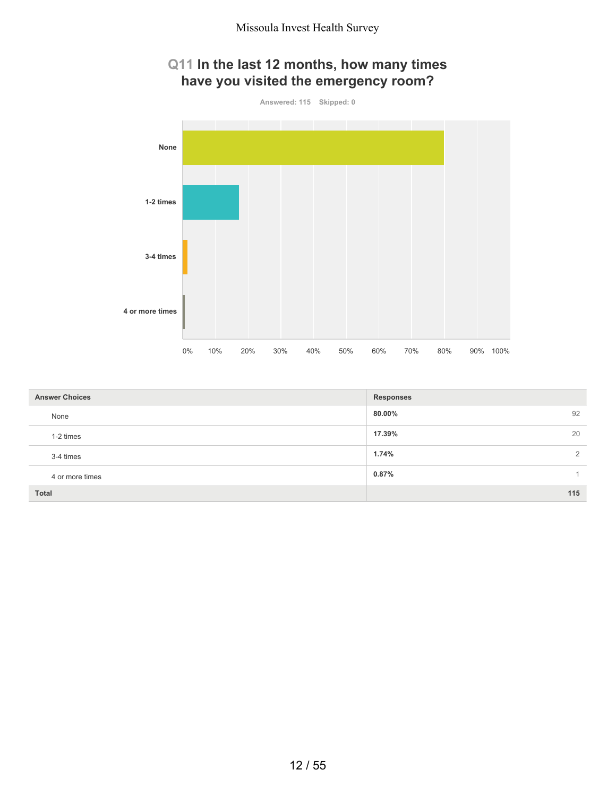# **Q11 In the last 12 months, how many times have you visited the emergency room?**



| <b>Answer Choices</b> | <b>Responses</b>        |
|-----------------------|-------------------------|
| None                  | 92<br>80.00%            |
| 1-2 times             | 20<br>17.39%            |
| 3-4 times             | 1.74%<br>$\overline{2}$ |
| 4 or more times       | 0.87%                   |
| <b>Total</b>          | 115                     |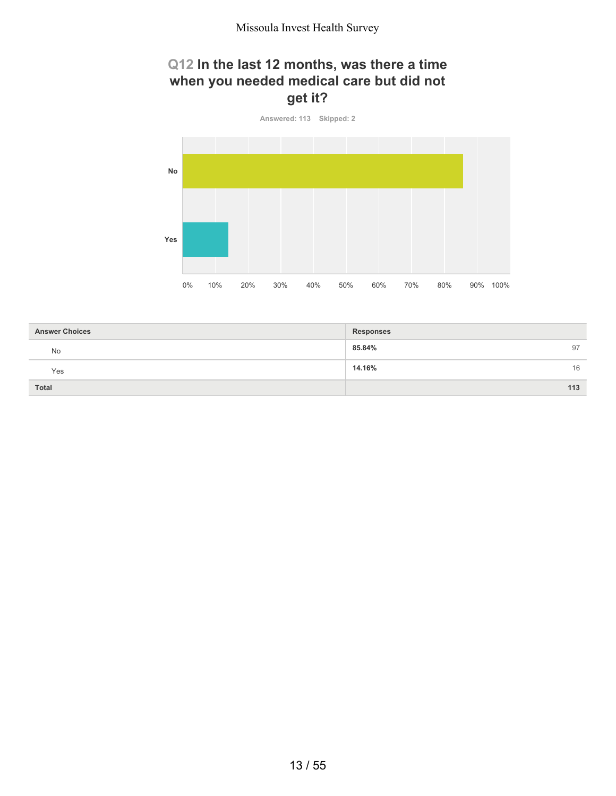## **Q12 In the last 12 months, was there a time when you needed medical care but did not get it?**



| <b>Answer Choices</b> | <b>Responses</b> |
|-----------------------|------------------|
| <b>No</b>             | 85.84%<br>97     |
| Yes                   | 14.16%<br>16     |
| <b>Total</b>          | 113              |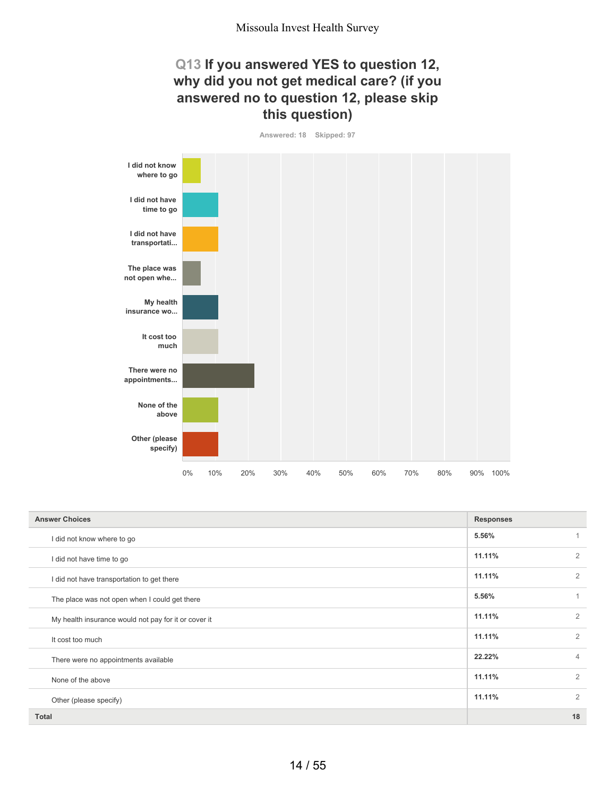## **Q13 If you answered YES to question 12, why did you not get medical care? (if you answered no to question 12, please skip this question)**

**Answered: 18 Skipped: 97**



| <b>Answer Choices</b>                                | <b>Responses</b> |                |
|------------------------------------------------------|------------------|----------------|
| I did not know where to go                           | 5.56%            |                |
| I did not have time to go                            | 11.11%           | 2              |
| I did not have transportation to get there           | 11.11%           | 2              |
| The place was not open when I could get there        | 5.56%            | 1              |
| My health insurance would not pay for it or cover it | 11.11%           | $\overline{2}$ |
| It cost too much                                     | 11.11%           | $\overline{2}$ |
| There were no appointments available                 | 22.22%           | $\overline{4}$ |
| None of the above                                    | 11.11%           | $\overline{2}$ |
| Other (please specify)                               | 11.11%           | $\overline{2}$ |
| <b>Total</b>                                         |                  | 18             |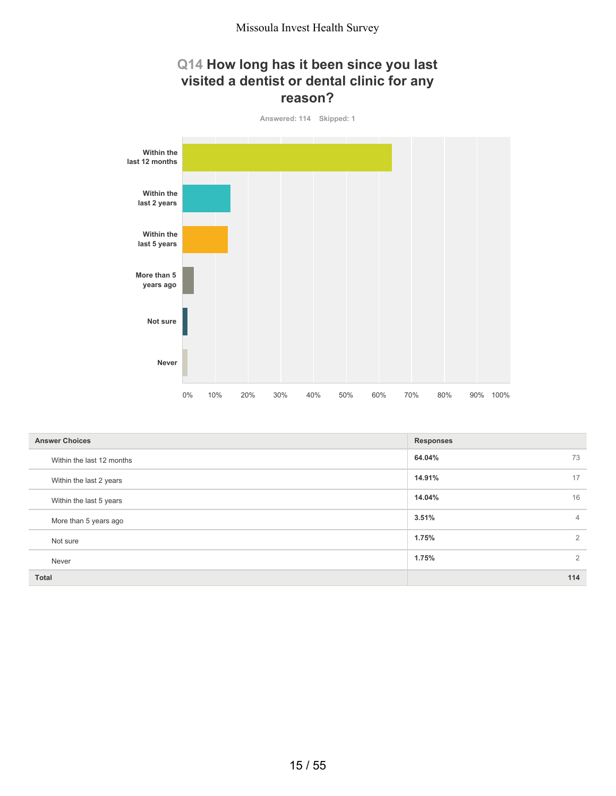## **Q14 How long has it been since you last visited a dentist or dental clinic for any reason?**



| <b>Answer Choices</b>     | <b>Responses</b>        |
|---------------------------|-------------------------|
| Within the last 12 months | 73<br>64.04%            |
| Within the last 2 years   | 17<br>14.91%            |
| Within the last 5 years   | 16<br>14.04%            |
| More than 5 years ago     | 3.51%<br>$\overline{4}$ |
| Not sure                  | 1.75%<br>$\overline{2}$ |
| Never                     | 2<br>1.75%              |
| Total                     | 114                     |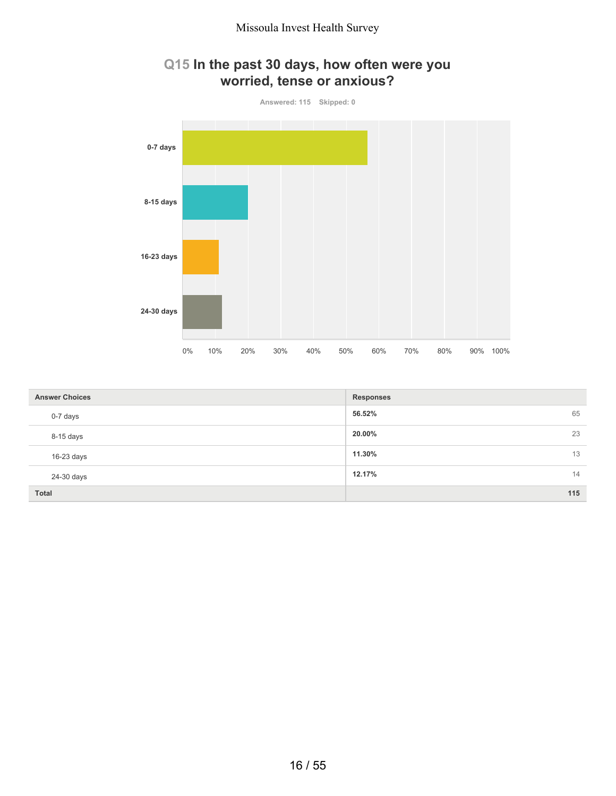

## **Q15 In the past 30 days, how often were you worried, tense or anxious?**

| <b>Answer Choices</b> | <b>Responses</b> |
|-----------------------|------------------|
| 0-7 days              | 65<br>56.52%     |
| 8-15 days             | 20.00%<br>23     |
| 16-23 days            | 13<br>11.30%     |
| 24-30 days            | 12.17%<br>14     |
| <b>Total</b>          | 115              |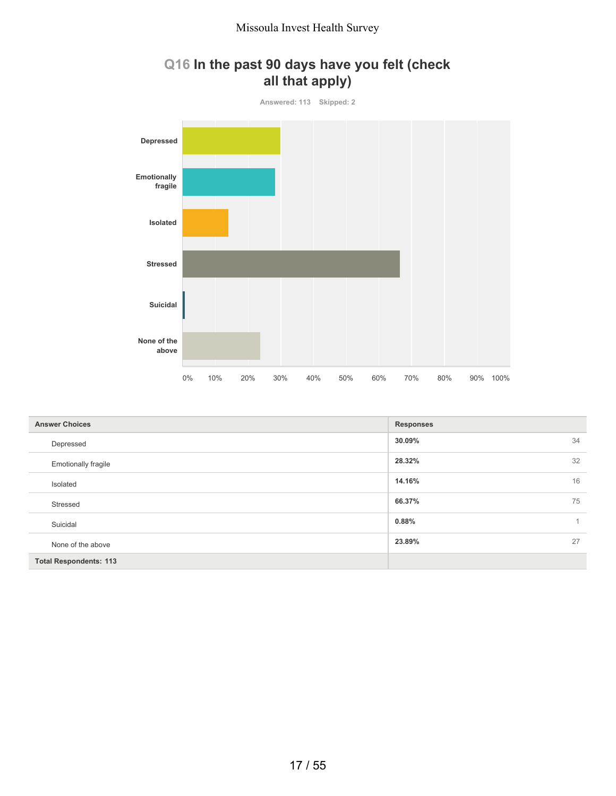## **Q16 In the past 90 days have you felt (check all that apply)**



| <b>Answer Choices</b>         | <b>Responses</b>      |
|-------------------------------|-----------------------|
| Depressed                     | 34<br>30.09%          |
| <b>Emotionally fragile</b>    | 32<br>28.32%          |
| Isolated                      | 16<br>14.16%          |
| Stressed                      | 75<br>66.37%          |
| Suicidal                      | 0.88%<br>$\mathbf{1}$ |
| None of the above             | 27<br>23.89%          |
| <b>Total Respondents: 113</b> |                       |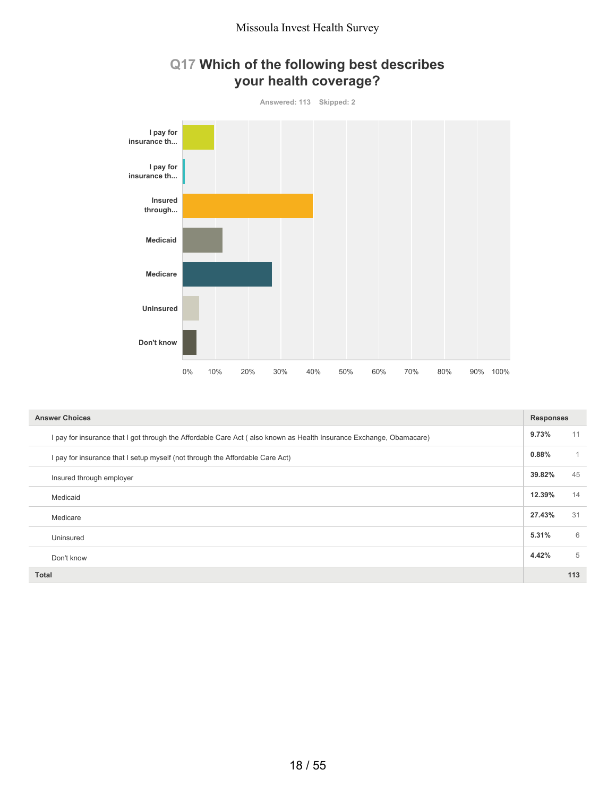



| <b>Answer Choices</b>                                                                                               | <b>Responses</b> |     |
|---------------------------------------------------------------------------------------------------------------------|------------------|-----|
| I pay for insurance that I got through the Affordable Care Act (also known as Health Insurance Exchange, Obamacare) | 9.73%            | 11  |
| I pay for insurance that I setup myself (not through the Affordable Care Act)                                       | 0.88%            |     |
| Insured through employer                                                                                            | 39.82%           | 45  |
| Medicaid                                                                                                            | 12.39%           | 14  |
| Medicare                                                                                                            | 27.43%           | 31  |
| Uninsured                                                                                                           | 5.31%            | 6   |
| Don't know                                                                                                          | 4.42%            | 5   |
| <b>Total</b>                                                                                                        |                  | 113 |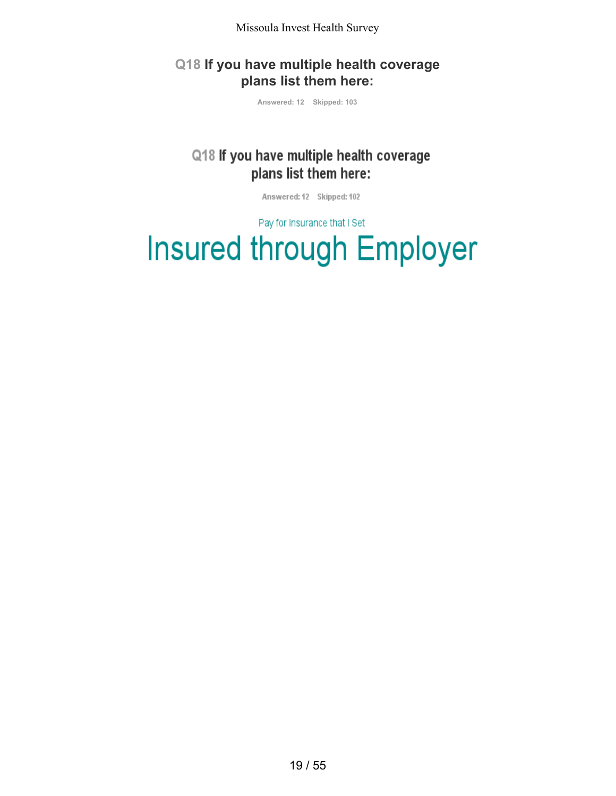## **Q18 If you have multiple health coverage plans list them here:**

**Answered: 12 Skipped: 103**

# Q18 If you have multiple health coverage plans list them here:

Answered: 12 Skipped: 102

Pay for Insurance that I Set

# **Insured through Employer**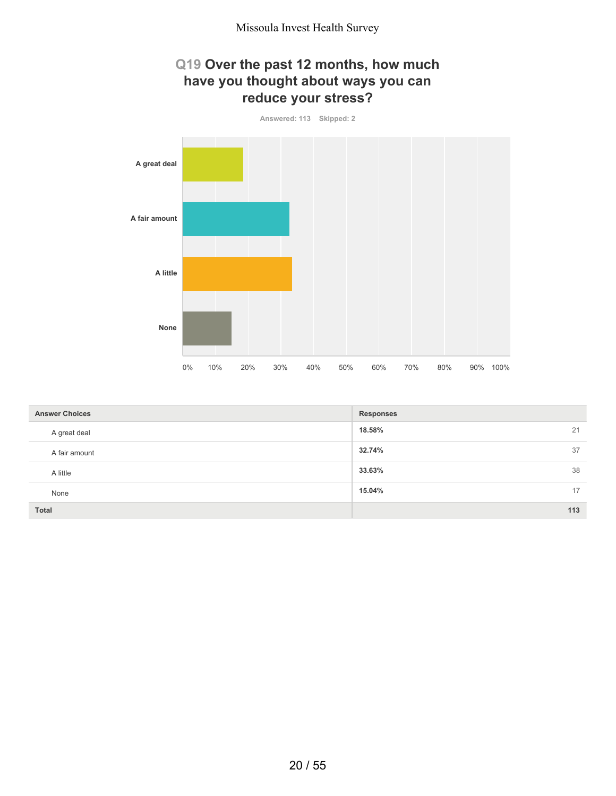## **Q19 Over the past 12 months, how much have you thought about ways you can reduce your stress?**



| <b>Answer Choices</b> | <b>Responses</b> |
|-----------------------|------------------|
| A great deal          | 18.58%<br>21     |
| A fair amount         | 37<br>32.74%     |
| A little              | 38<br>33.63%     |
| None                  | 17<br>15.04%     |
| Total                 | 113              |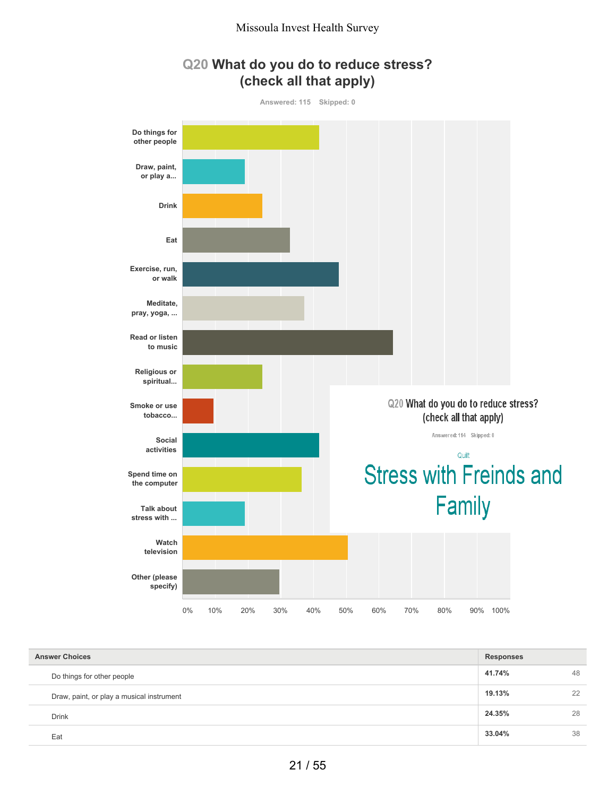



| <b>Answer Choices</b>                     | <b>Responses</b> |    |
|-------------------------------------------|------------------|----|
| Do things for other people                | 41.74%           | 48 |
| Draw, paint, or play a musical instrument | 19.13%           | 22 |
| <b>Drink</b>                              | 24.35%           | 28 |
| Eat                                       | 33.04%           | 38 |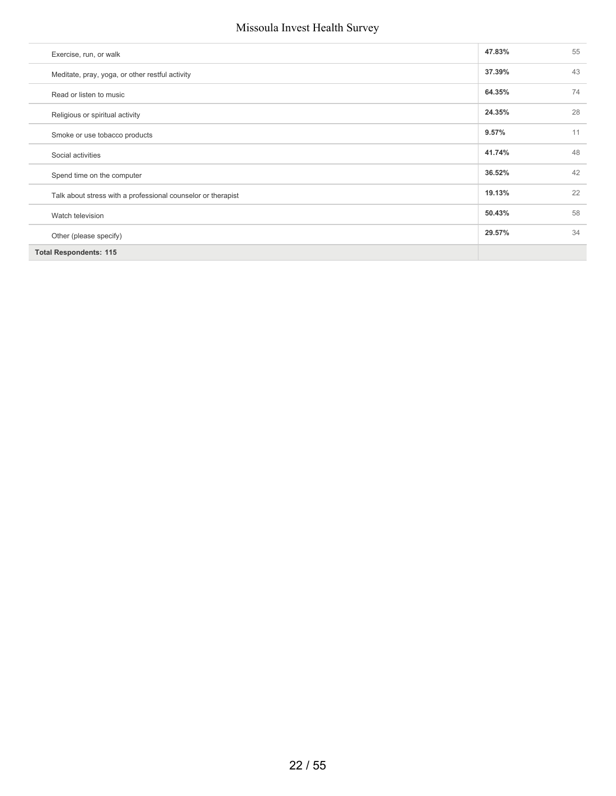| Exercise, run, or walk                                       | 47.83% | 55 |
|--------------------------------------------------------------|--------|----|
| Meditate, pray, yoga, or other restful activity              | 37.39% | 43 |
| Read or listen to music                                      | 64.35% | 74 |
| Religious or spiritual activity                              | 24.35% | 28 |
| Smoke or use tobacco products                                | 9.57%  | 11 |
| Social activities                                            | 41.74% | 48 |
| Spend time on the computer                                   | 36.52% | 42 |
| Talk about stress with a professional counselor or therapist | 19.13% | 22 |
| Watch television                                             | 50.43% | 58 |
| Other (please specify)                                       | 29.57% | 34 |
| <b>Total Respondents: 115</b>                                |        |    |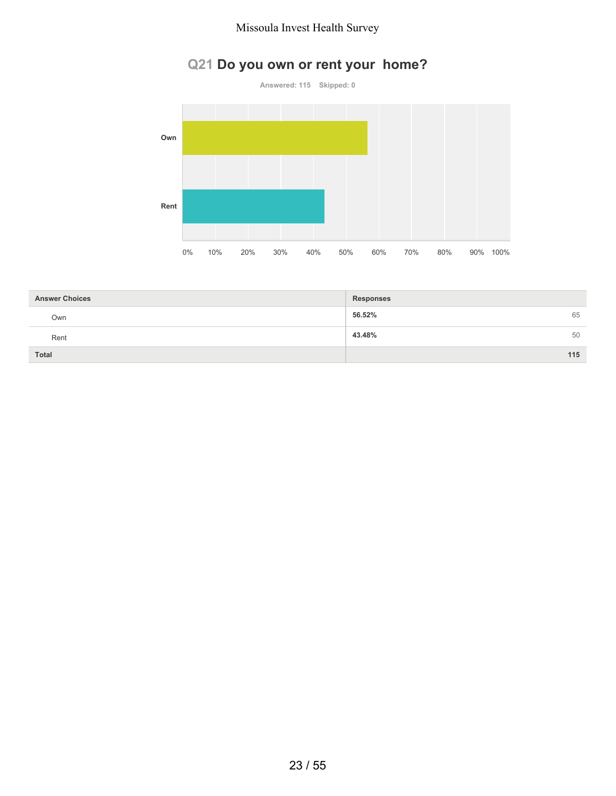# **Q21 Do you own or rent your home?**



| <b>Answer Choices</b> | <b>Responses</b> |
|-----------------------|------------------|
| Own                   | 56.52%<br>65     |
| Rent                  | 43.48%<br>50     |
| <b>Total</b>          | 115              |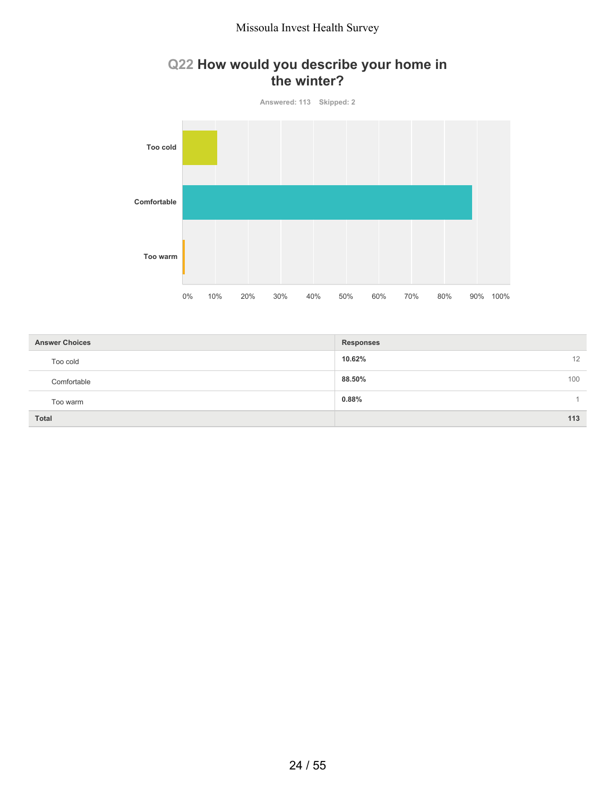## **Q22 How would you describe your home in the winter?**



| <b>Answer Choices</b> | <b>Responses</b> |
|-----------------------|------------------|
| Too cold              | 10.62%<br>12     |
| Comfortable           | 88.50%<br>100    |
| Too warm              | 0.88%            |
| <b>Total</b>          | 113              |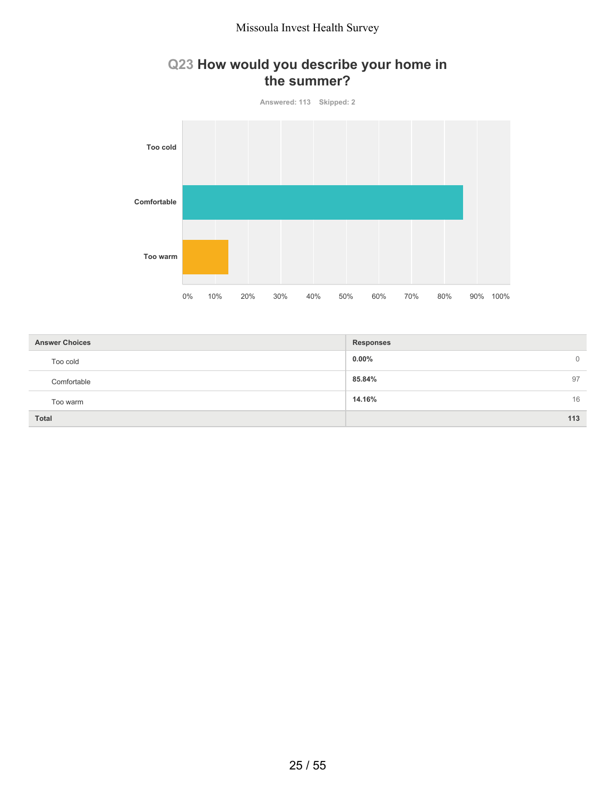## **Q23 How would you describe your home in the summer?**



| <b>Answer Choices</b> | <b>Responses</b>        |
|-----------------------|-------------------------|
| Too cold              | $0.00\%$<br>$\mathbf 0$ |
| Comfortable           | 85.84%<br>97            |
| Too warm              | 14.16%<br>16            |
| <b>Total</b>          | 113                     |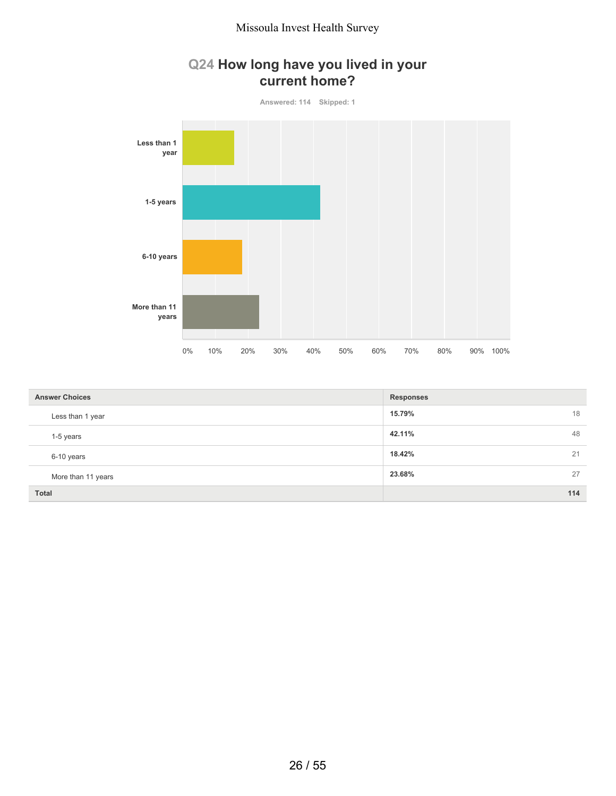## **Q24 How long have you lived in your current home?**



| <b>Answer Choices</b> | <b>Responses</b> |
|-----------------------|------------------|
| Less than 1 year      | 18<br>15.79%     |
| 1-5 years             | 48<br>42.11%     |
| 6-10 years            | 18.42%<br>21     |
| More than 11 years    | 27<br>23.68%     |
| Total                 | 114              |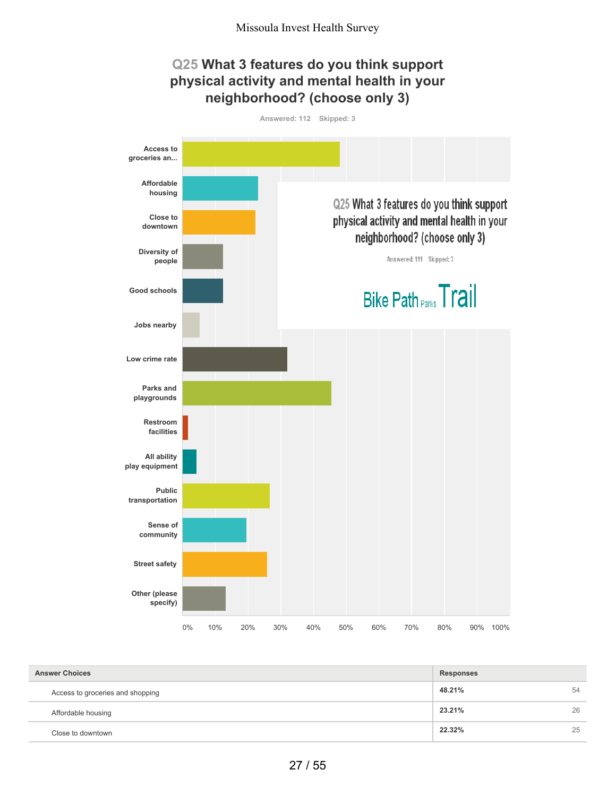#### **Q25 What 3 features do you think support physical activity and mental health in your neighborhood? (choose only 3) Answered: 112 Skipped: 3 Access to groceries an... Affordable housing** Q25 What 3 features do you think support **Close to** physical activity and mental health in your **downtown** neighborhood? (choose only 3) **Diversity of** Answered: 111 Skipped: 3 **people Bike Path Parks Trail Good schools**



| <b>Answer Choices</b>            | <b>Responses</b> |    |
|----------------------------------|------------------|----|
| Access to groceries and shopping | 48.21%           | 54 |
| Affordable housing               | 23.21%           | 26 |
| Close to downtown                | 22.32%           | 25 |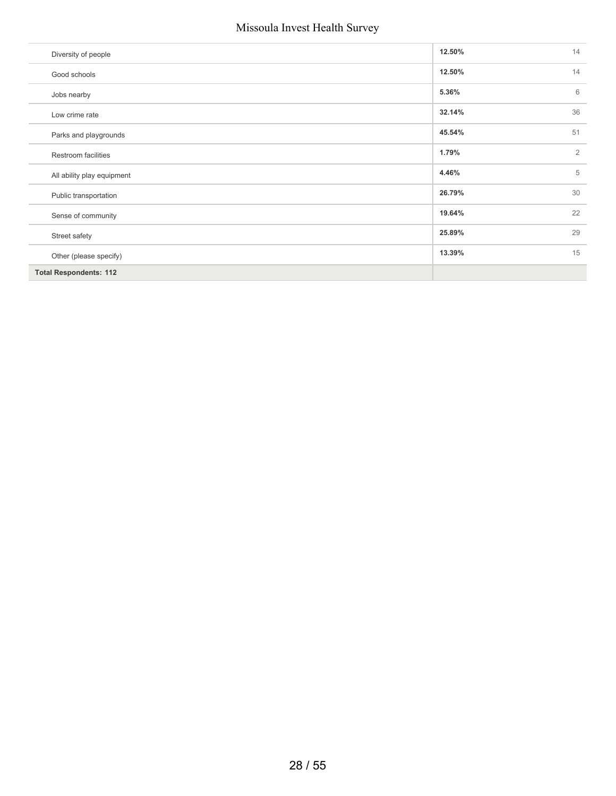| Diversity of people           | 12.50% | 14             |
|-------------------------------|--------|----------------|
| Good schools                  | 12.50% | 14             |
| Jobs nearby                   | 5.36%  | 6              |
| Low crime rate                | 32.14% | 36             |
| Parks and playgrounds         | 45.54% | 51             |
| Restroom facilities           | 1.79%  | $\overline{2}$ |
| All ability play equipment    | 4.46%  | 5              |
| Public transportation         | 26.79% | 30             |
| Sense of community            | 19.64% | 22             |
| Street safety                 | 25.89% | 29             |
| Other (please specify)        | 13.39% | 15             |
| <b>Total Respondents: 112</b> |        |                |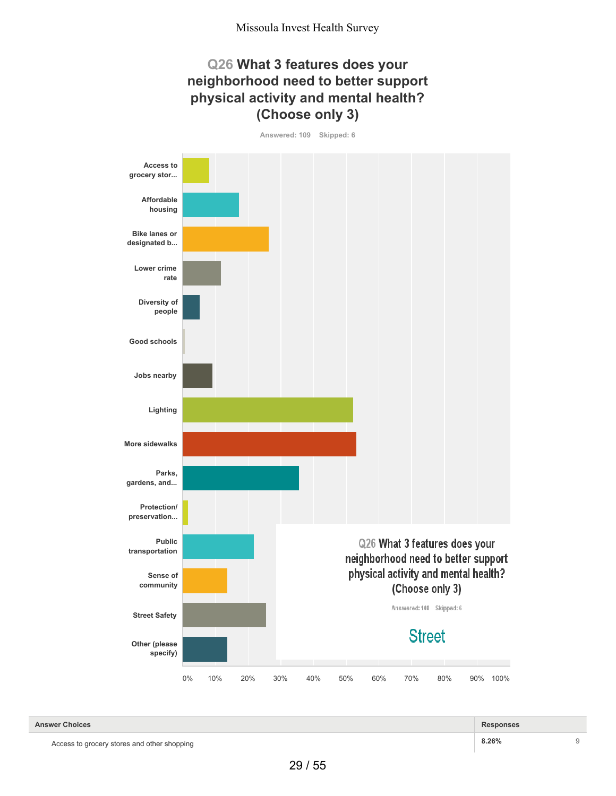## **Q26 What 3 features does your neighborhood need to better support physical activity and mental health? (Choose only 3)**

**Answered: 109 Skipped: 6**



Access to grocery stores and other shopping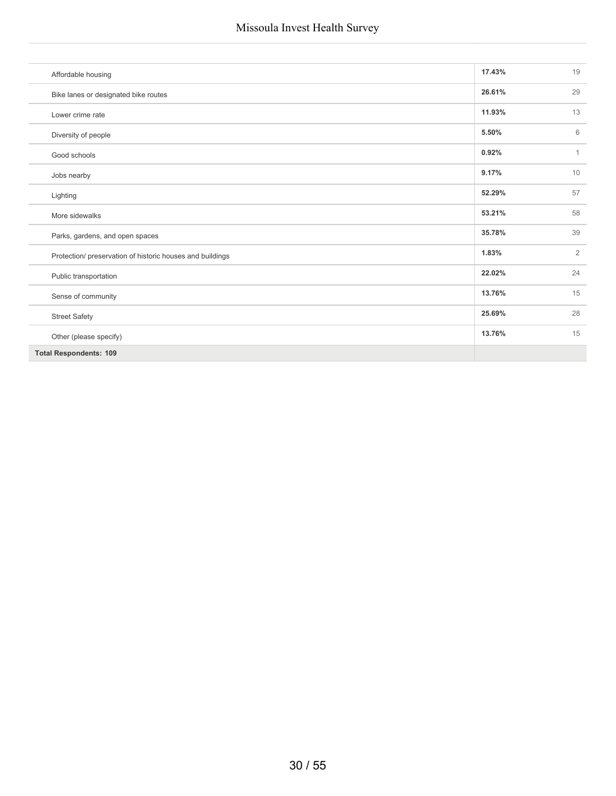| Affordable housing                                        | 17.43% | 19             |
|-----------------------------------------------------------|--------|----------------|
| Bike lanes or designated bike routes                      | 26.61% | 29             |
| Lower crime rate                                          | 11.93% | 13             |
| Diversity of people                                       | 5.50%  | 6              |
| Good schools                                              | 0.92%  | $\mathbf{1}$   |
| Jobs nearby                                               | 9.17%  | 10             |
| Lighting                                                  | 52.29% | 57             |
| More sidewalks                                            | 53.21% | 58             |
| Parks, gardens, and open spaces                           | 35.78% | 39             |
| Protection/ preservation of historic houses and buildings | 1.83%  | $\overline{2}$ |
| Public transportation                                     | 22.02% | 24             |
| Sense of community                                        | 13.76% | 15             |
| <b>Street Safety</b>                                      | 25.69% | 28             |
| Other (please specify)                                    | 13.76% | 15             |
| <b>Total Respondents: 109</b>                             |        |                |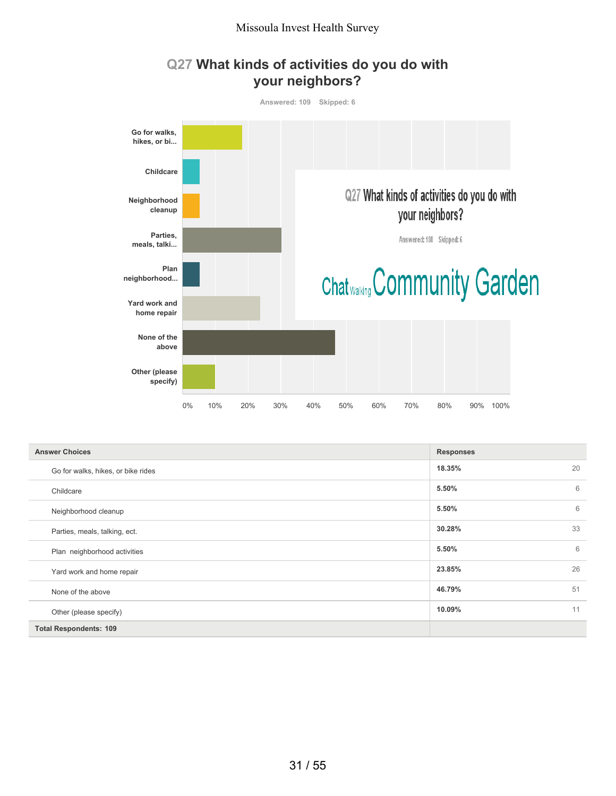



| <b>Answer Choices</b>              | <b>Responses</b> |
|------------------------------------|------------------|
| Go for walks, hikes, or bike rides | 18.35%<br>20     |
| Childcare                          | 6<br>5.50%       |
| Neighborhood cleanup               | 6<br>5.50%       |
| Parties, meals, talking, ect.      | 33<br>30.28%     |
| Plan neighborhood activities       | 6<br>5.50%       |
| Yard work and home repair          | 26<br>23.85%     |
| None of the above                  | 51<br>46.79%     |
| Other (please specify)             | 11<br>10.09%     |
| <b>Total Respondents: 109</b>      |                  |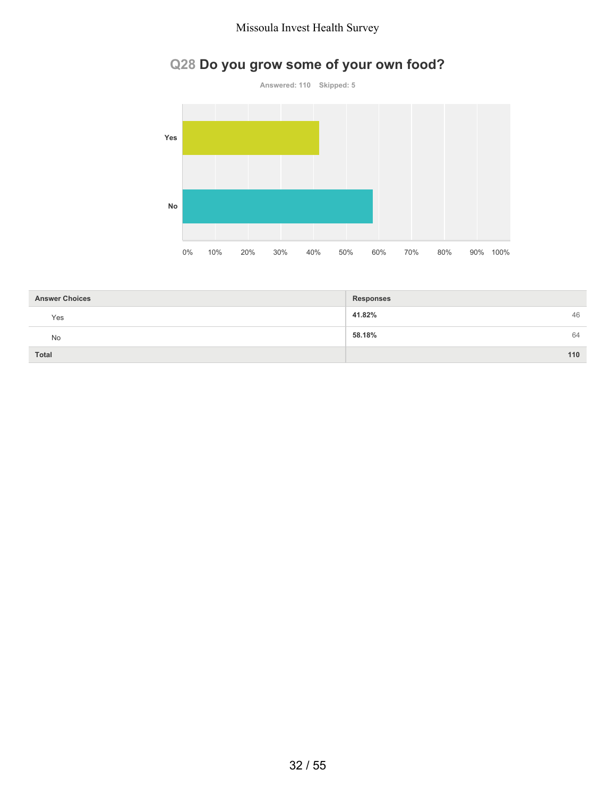# **Q28 Do you grow some of your own food?**



| <b>Answer Choices</b> | <b>Responses</b> |
|-----------------------|------------------|
| Yes                   | 41.82%<br>46     |
| No                    | 58.18%<br>64     |
| <b>Total</b>          | 110              |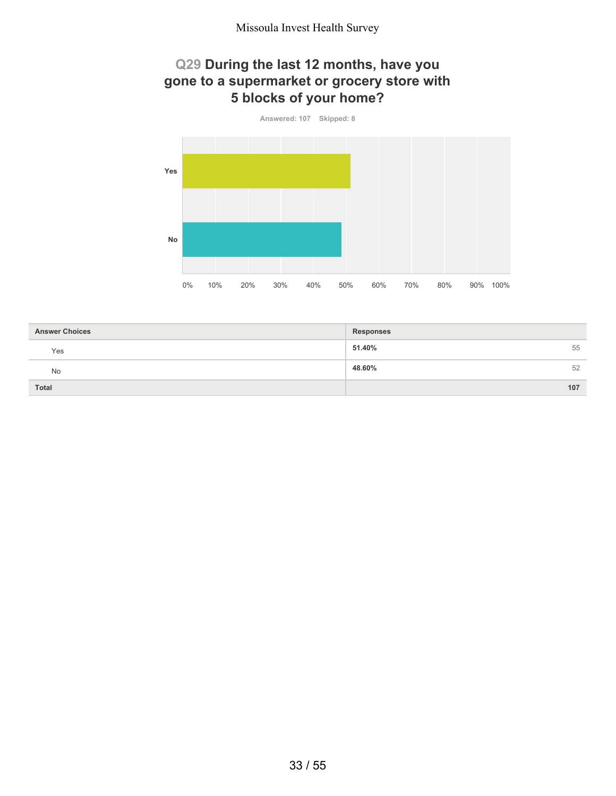## **Q29 During the last 12 months, have you gone to a supermarket or grocery store with 5 blocks of your home?**



| <b>Answer Choices</b> | <b>Responses</b> |
|-----------------------|------------------|
| Yes                   | 51.40%<br>55     |
| <b>No</b>             | 48.60%<br>52     |
| <b>Total</b>          | 107              |
|                       |                  |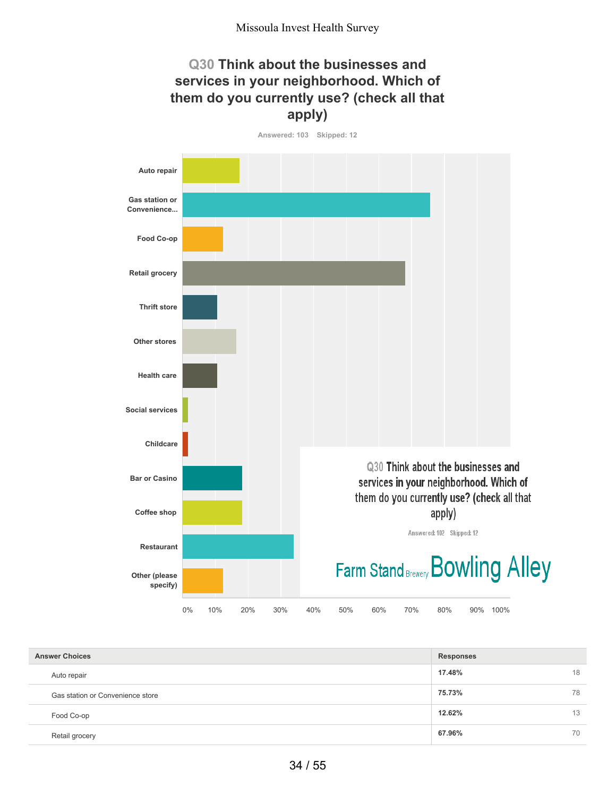## **Q30 Think about the businesses and services in your neighborhood. Which of them do you currently use? (check all that apply)**



| <b>Answer Choices</b>            | <b>Responses</b> |    |
|----------------------------------|------------------|----|
| Auto repair                      | 17.48%           | 18 |
| Gas station or Convenience store | 75.73%           | 78 |
| Food Co-op                       | 12.62%           | 13 |
| Retail grocery                   | 67.96%           | 70 |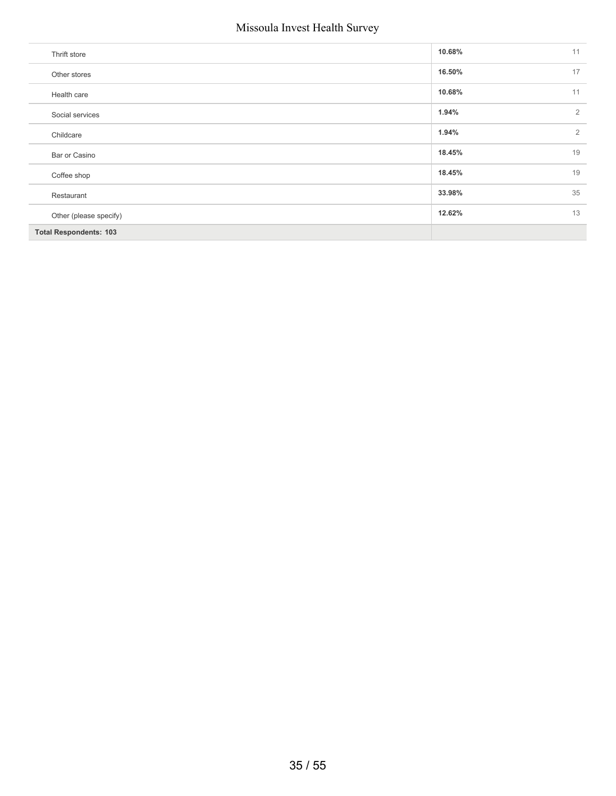| Thrift store                  | 10.68% | 11             |
|-------------------------------|--------|----------------|
| Other stores                  | 16.50% | 17             |
| Health care                   | 10.68% | 11             |
| Social services               | 1.94%  | $\overline{2}$ |
| Childcare                     | 1.94%  | $\overline{2}$ |
| Bar or Casino                 | 18.45% | 19             |
| Coffee shop                   | 18.45% | 19             |
| Restaurant                    | 33.98% | 35             |
| Other (please specify)        | 12.62% | 13             |
| <b>Total Respondents: 103</b> |        |                |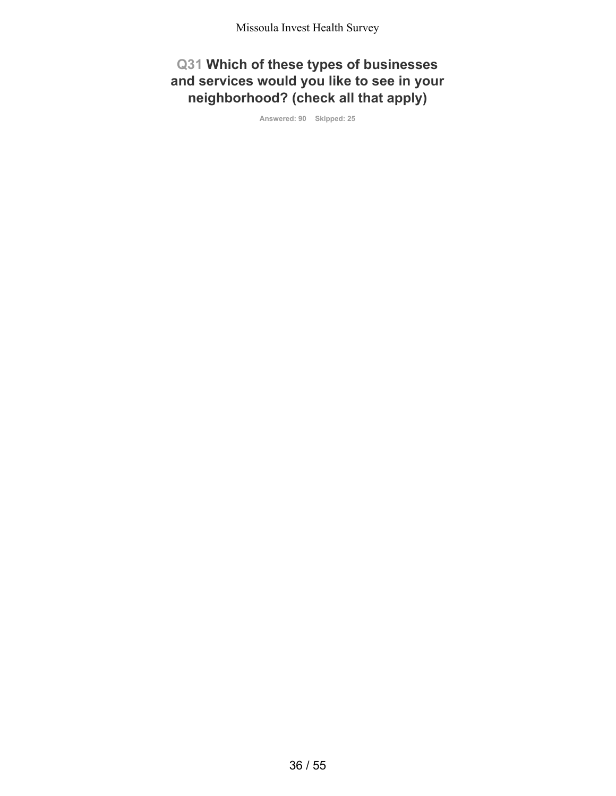**Q31 Which of these types of businesses and services would you like to see in your neighborhood? (check all that apply)**

**Answered: 90 Skipped: 25**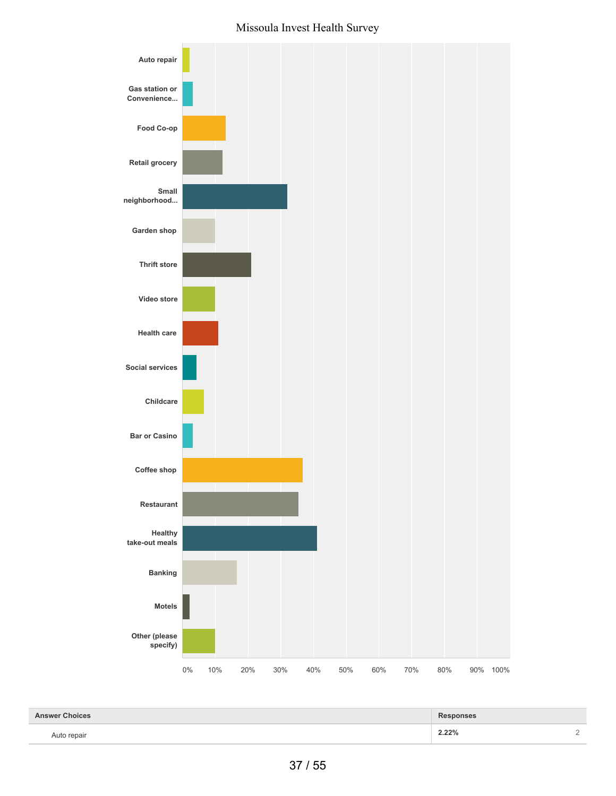

| <b>Answer Choices</b> | <b>Responses</b> |        |
|-----------------------|------------------|--------|
| Auto repair           | 2.22%            | $\sim$ |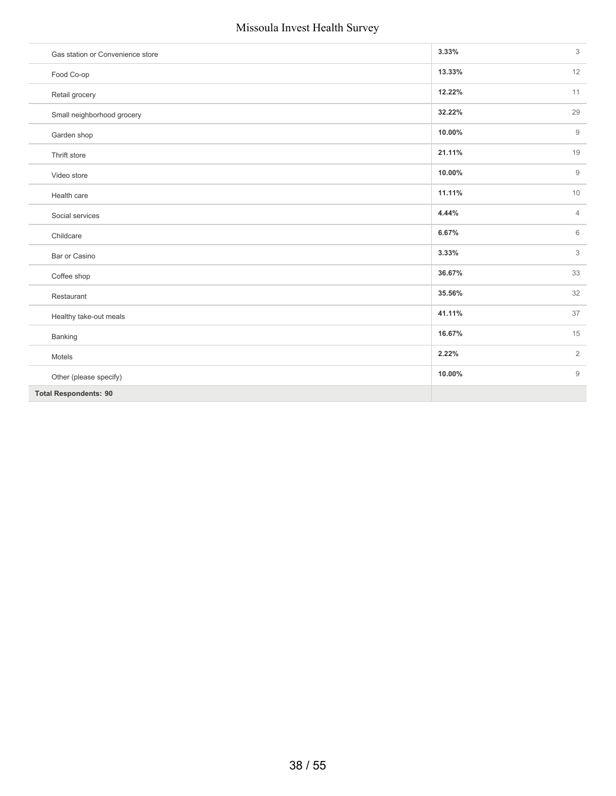| Gas station or Convenience store | 3.33%  | 3              |
|----------------------------------|--------|----------------|
| Food Co-op                       | 13.33% | 12             |
| Retail grocery                   | 12.22% | 11             |
| Small neighborhood grocery       | 32.22% | 29             |
| Garden shop                      | 10.00% | $\mathsf{9}$   |
| Thrift store                     | 21.11% | 19             |
| Video store                      | 10.00% | $\mathsf{9}$   |
| Health care                      | 11.11% | 10             |
| Social services                  | 4.44%  | $\overline{4}$ |
| Childcare                        | 6.67%  | 6              |
| Bar or Casino                    | 3.33%  | 3              |
| Coffee shop                      | 36.67% | 33             |
| Restaurant                       | 35.56% | 32             |
| Healthy take-out meals           | 41.11% | 37             |
| Banking                          | 16.67% | 15             |
| Motels                           | 2.22%  | $\overline{2}$ |
| Other (please specify)           | 10.00% | 9              |
| <b>Total Respondents: 90</b>     |        |                |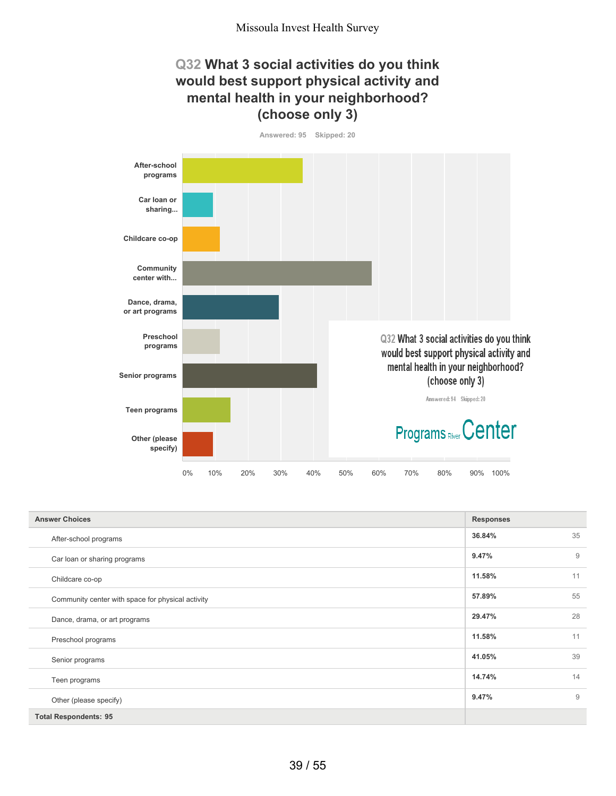## **Q32 What 3 social activities do you think would best support physical activity and mental health in your neighborhood? (choose only 3)**



| <b>Answer Choices</b>                             | <b>Responses</b> |    |
|---------------------------------------------------|------------------|----|
| After-school programs                             | 36.84%           | 35 |
| Car loan or sharing programs                      | 9.47%            | 9  |
| Childcare co-op                                   | 11.58%           | 11 |
| Community center with space for physical activity | 57.89%           | 55 |
| Dance, drama, or art programs                     | 29.47%           | 28 |
| Preschool programs                                | 11.58%           | 11 |
| Senior programs                                   | 41.05%           | 39 |
| Teen programs                                     | 14.74%           | 14 |
| Other (please specify)                            | 9.47%            | 9  |
| <b>Total Respondents: 95</b>                      |                  |    |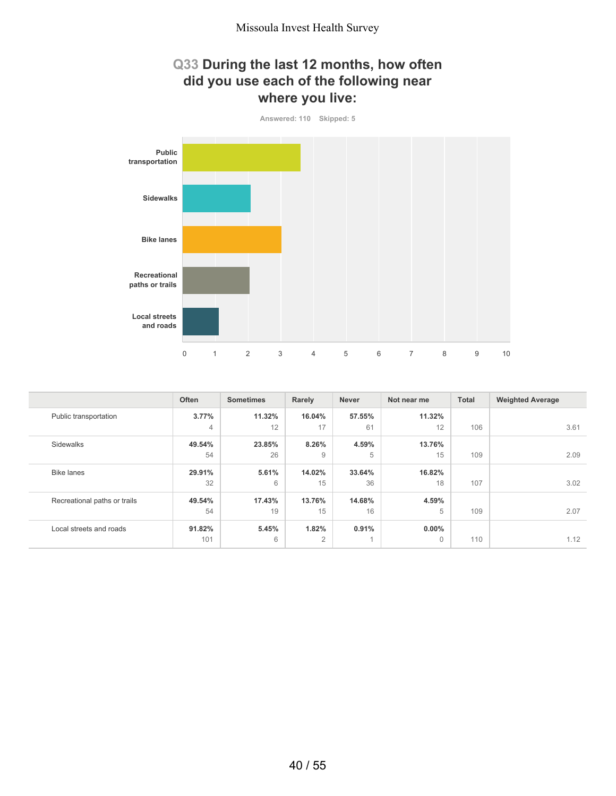## **Q33 During the last 12 months, how often did you use each of the following near where you live:**



|                              | Often          | <b>Sometimes</b> | Rarely         | <b>Never</b>   | Not near me | <b>Total</b> | <b>Weighted Average</b> |
|------------------------------|----------------|------------------|----------------|----------------|-------------|--------------|-------------------------|
| Public transportation        | 3.77%          | 11.32%           | 16.04%         | 57.55%         | 11.32%      |              |                         |
|                              | $\overline{4}$ | 12               | 17             | 61             | 12          | 106          | 3.61                    |
| Sidewalks                    | 49.54%         | 23.85%           | 8.26%          | 4.59%          | 13.76%      |              |                         |
|                              | 54             | 26               | $\overline{9}$ | 5              | 15          | 109          | 2.09                    |
| <b>Bike lanes</b>            | 29.91%         | 5.61%            | 14.02%         | 33.64%         | 16.82%      |              |                         |
|                              | 32             | 6                | 15             | 36             | 18          | 107          | 3.02                    |
| Recreational paths or trails | 49.54%         | 17.43%           | 13.76%         | 14.68%         | 4.59%       |              |                         |
|                              | 54             | 19               | 15             | 16             | 5           | 109          | 2.07                    |
| Local streets and roads      | 91.82%         | 5.45%            | 1.82%          | 0.91%          | $0.00\%$    |              |                         |
|                              | 101            | 6                | $\overline{2}$ | $\overline{A}$ | $\Omega$    | 110          | 1.12                    |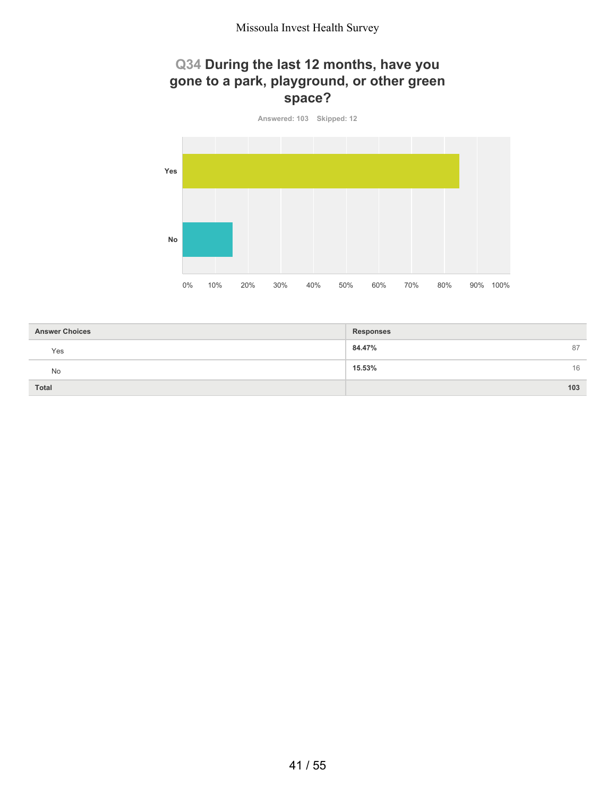## **Q34 During the last 12 months, have you gone to a park, playground, or other green space?**



| <b>Answer Choices</b> | <b>Responses</b> |
|-----------------------|------------------|
| Yes                   | 84.47%<br>87     |
| <b>No</b>             | 15.53%<br>16     |
| <b>Total</b>          | 103              |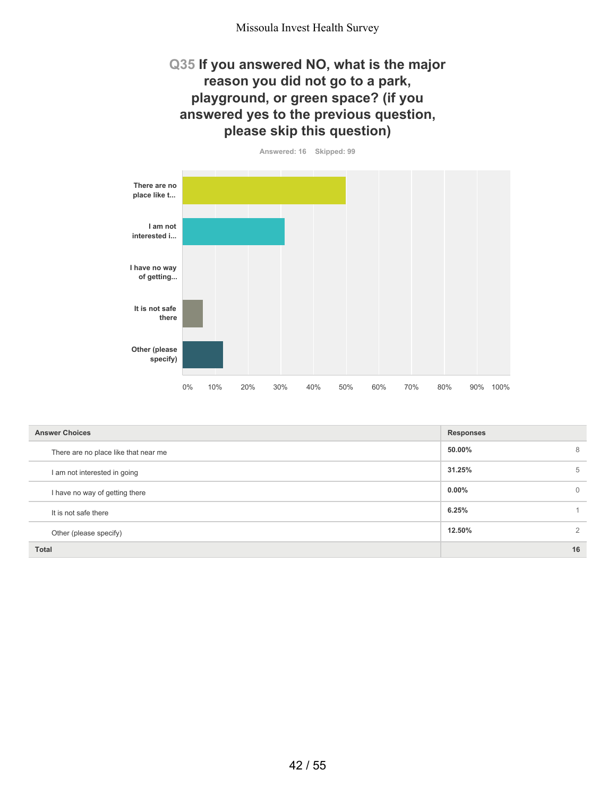## **Q35 If you answered NO, what is the major reason you did not go to a park, playground, or green space? (if you answered yes to the previous question, please skip this question)**



| <b>Answer Choices</b>                | <b>Responses</b> |              |
|--------------------------------------|------------------|--------------|
| There are no place like that near me | 50.00%           | 8            |
| I am not interested in going         | 31.25%           | 5            |
| I have no way of getting there       | $0.00\%$         | $\mathbf{0}$ |
| It is not safe there                 | 6.25%            |              |
| Other (please specify)               | 12.50%           | 2            |
| <b>Total</b>                         |                  | 16           |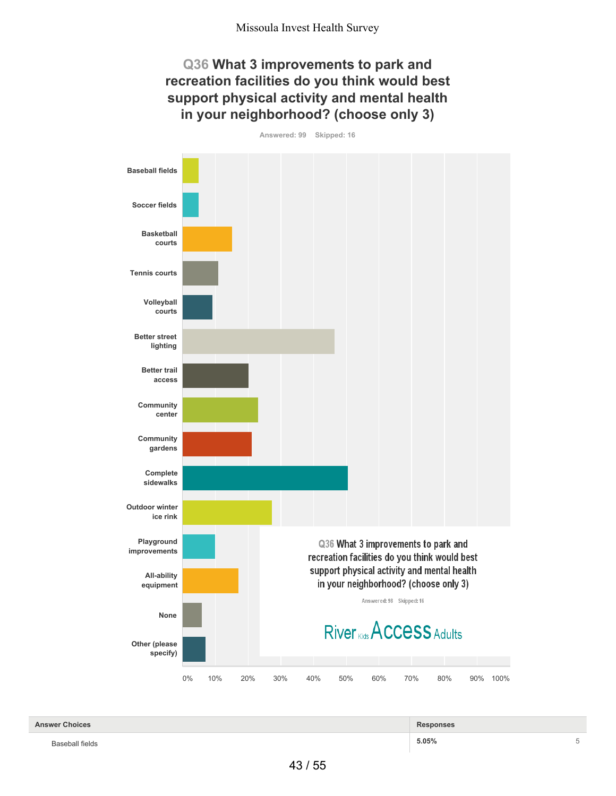## **Q36 What 3 improvements to park and recreation facilities do you think would best support physical activity and mental health in your neighborhood? (choose only 3)**



| <b>Answer Choices</b> | Responses |  |
|-----------------------|-----------|--|
| Baseball fields       | 5.05%     |  |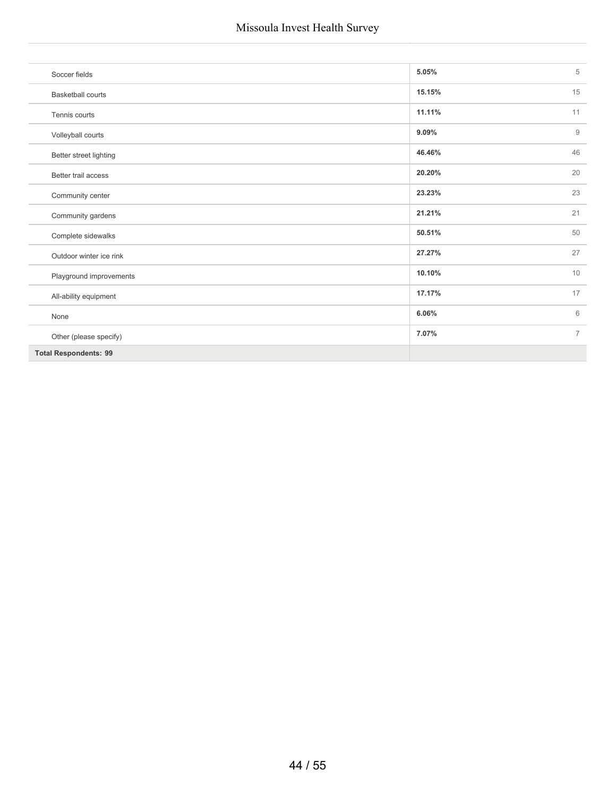| Soccer fields                | 5.05%  | 5              |
|------------------------------|--------|----------------|
| <b>Basketball courts</b>     | 15.15% | 15             |
| Tennis courts                | 11.11% | 11             |
| Volleyball courts            | 9.09%  | $9$            |
| Better street lighting       | 46.46% | 46             |
| Better trail access          | 20.20% | 20             |
| Community center             | 23.23% | 23             |
| Community gardens            | 21.21% | 21             |
| Complete sidewalks           | 50.51% | 50             |
| Outdoor winter ice rink      | 27.27% | 27             |
| Playground improvements      | 10.10% | 10             |
| All-ability equipment        | 17.17% | 17             |
| None                         | 6.06%  | 6              |
| Other (please specify)       | 7.07%  | $\overline{7}$ |
| <b>Total Respondents: 99</b> |        |                |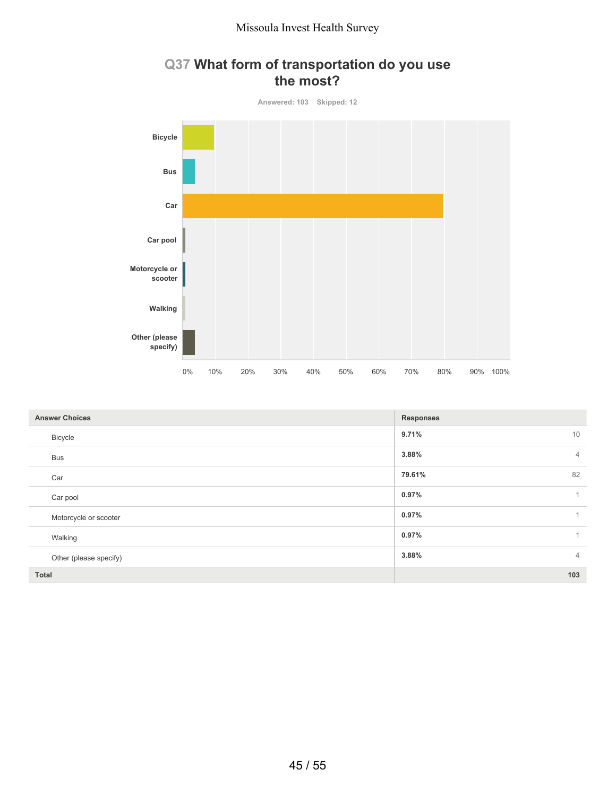

## **Q37 What form of transportation do you use the most?**

| <b>Answer Choices</b>  | <b>Responses</b>        |
|------------------------|-------------------------|
| Bicycle                | 9.71%<br>10             |
| <b>Bus</b>             | 3.88%<br>$\overline{4}$ |
| Car                    | 82<br>79.61%            |
| Car pool               | 0.97%<br>$\mathbf{1}$   |
| Motorcycle or scooter  | 0.97%                   |
| Walking                | 0.97%                   |
| Other (please specify) | 3.88%<br>$\overline{4}$ |
| <b>Total</b>           | 103                     |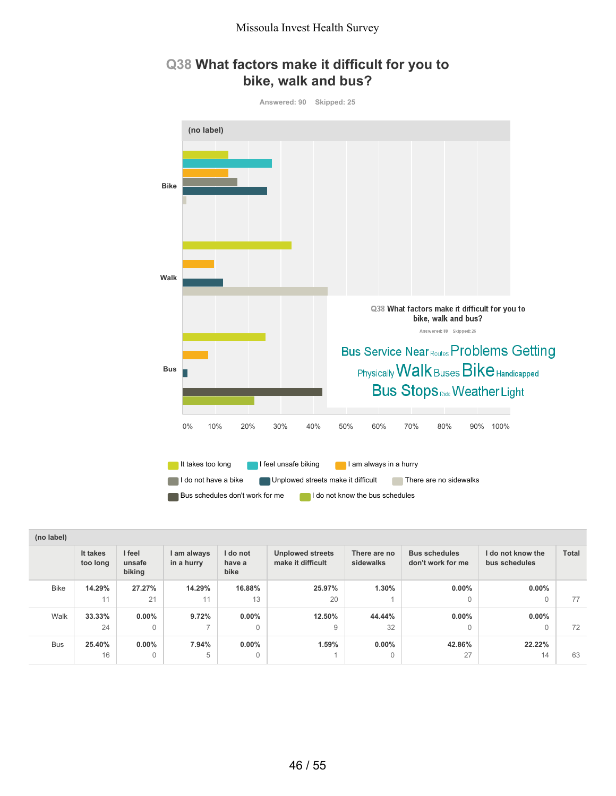## **Q38 What factors make it difficult for you to bike, walk and bus?**



| (no label)  |                      |                            |                           |                            |                                              |                           |                                           |                                    |              |
|-------------|----------------------|----------------------------|---------------------------|----------------------------|----------------------------------------------|---------------------------|-------------------------------------------|------------------------------------|--------------|
|             | It takes<br>too long | I feel<br>unsafe<br>biking | I am always<br>in a hurry | I do not<br>have a<br>bike | <b>Unplowed streets</b><br>make it difficult | There are no<br>sidewalks | <b>Bus schedules</b><br>don't work for me | I do not know the<br>bus schedules | <b>Total</b> |
| <b>Bike</b> | 14.29%               | 27.27%                     | 14.29%                    | 16.88%                     | 25.97%                                       | 1.30%                     | $0.00\%$                                  | $0.00\%$                           |              |
|             | 11                   | 21                         | 11                        | 13                         | 20                                           |                           | $\Omega$                                  | 0                                  | 77           |
| Walk        | 33.33%               | $0.00\%$                   | 9.72%                     | $0.00\%$                   | 12.50%                                       | 44.44%                    | $0.00\%$                                  | $0.00\%$                           |              |
|             | 24                   | 0                          | $\overline{ }$            | $\mathbf{0}$               | 9                                            | 32                        | $\Omega$                                  | $\Omega$                           | 72           |
| <b>Bus</b>  | 25.40%               | $0.00\%$                   | 7.94%                     | $0.00\%$                   | 1.59%                                        | $0.00\%$                  | 42.86%                                    | 22.22%                             |              |
|             | 16                   | 0                          | 5                         | 0                          |                                              | 0                         | 27                                        | 14                                 | 63           |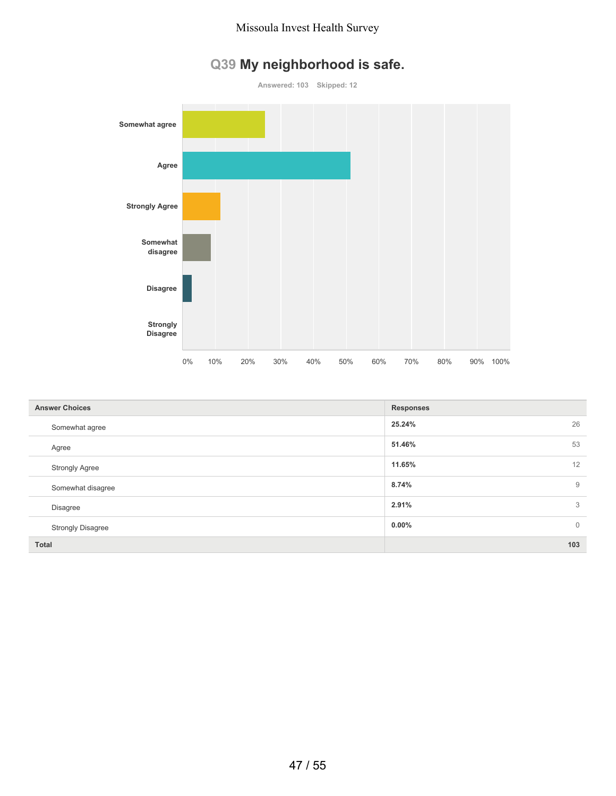

# **Q39 My neighborhood is safe.**

| <b>Answer Choices</b>    | <b>Responses</b>        |
|--------------------------|-------------------------|
| Somewhat agree           | 26<br>25.24%            |
| Agree                    | 53<br>51.46%            |
| <b>Strongly Agree</b>    | 12<br>11.65%            |
| Somewhat disagree        | 8.74%<br>9              |
| <b>Disagree</b>          | 2.91%<br>3              |
| <b>Strongly Disagree</b> | $0.00\%$<br>$\mathbf 0$ |
| <b>Total</b>             | 103                     |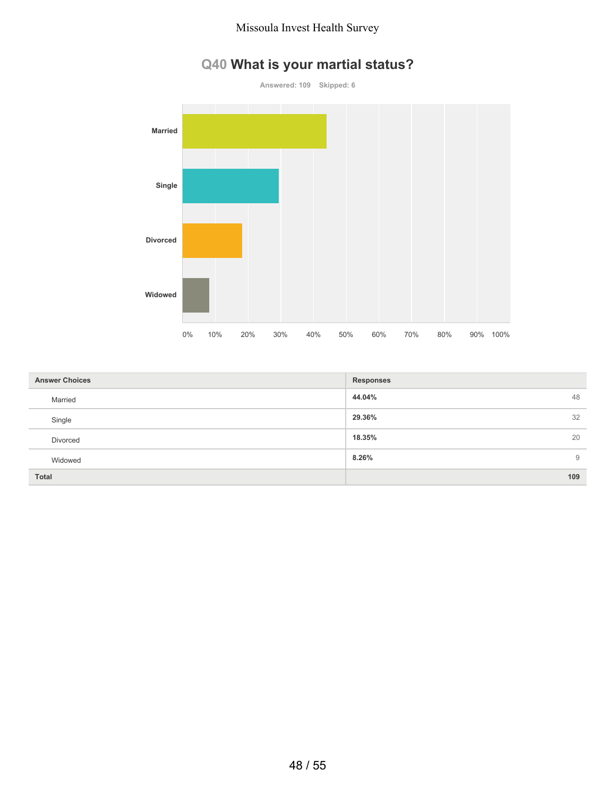# **Q40 What is your martial status?**



| <b>Answer Choices</b> | <b>Responses</b> |
|-----------------------|------------------|
| Married               | 48<br>44.04%     |
| Single                | 32<br>29.36%     |
| Divorced              | 20<br>18.35%     |
| Widowed               | 8.26%<br>9       |
| <b>Total</b>          | 109              |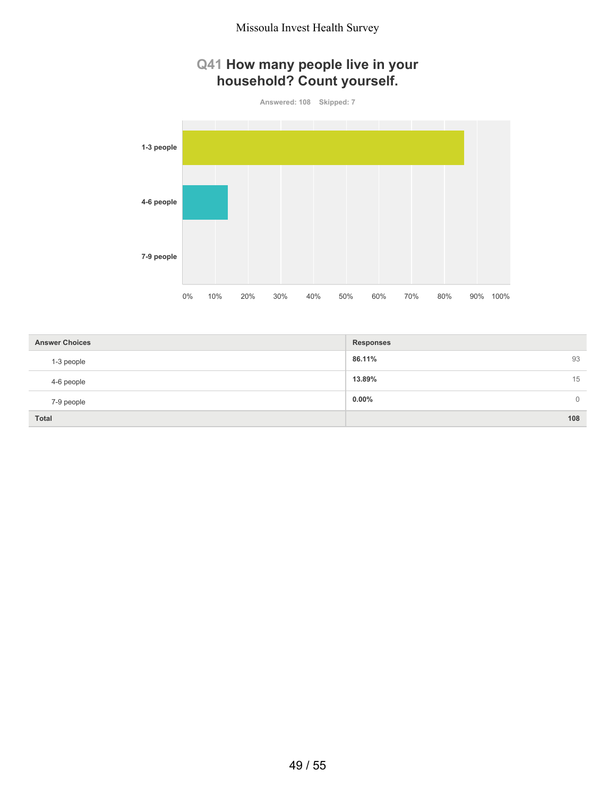## **Q41 How many people live in your household? Count yourself.**

**Answered: 108 Skipped: 7**



| <b>Answer Choices</b> | <b>Responses</b>           |
|-----------------------|----------------------------|
| 1-3 people            | 93<br>86.11%               |
| 4-6 people            | 15<br>13.89%               |
| 7-9 people            | $0.00\%$<br>$\overline{0}$ |
| <b>Total</b>          | 108                        |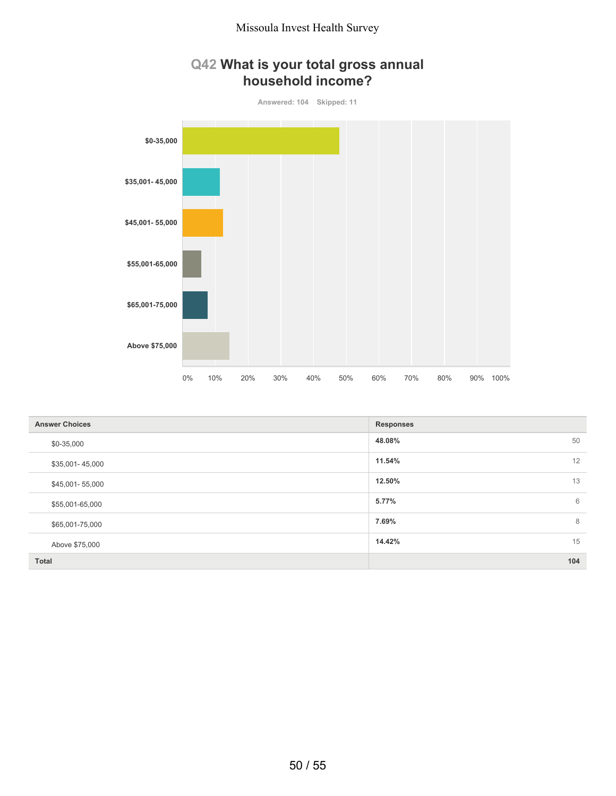## **Q42 What is your total gross annual household income?**



| <b>Answer Choices</b> | <b>Responses</b> |
|-----------------------|------------------|
| \$0-35,000            | 48.08%<br>50     |
| \$35,001-45,000       | 12<br>11.54%     |
| \$45,001-55,000       | 13<br>12.50%     |
| \$55,001-65,000       | 6<br>5.77%       |
| \$65,001-75,000       | 8<br>7.69%       |
| Above \$75,000        | 15<br>14.42%     |
| <b>Total</b>          | 104              |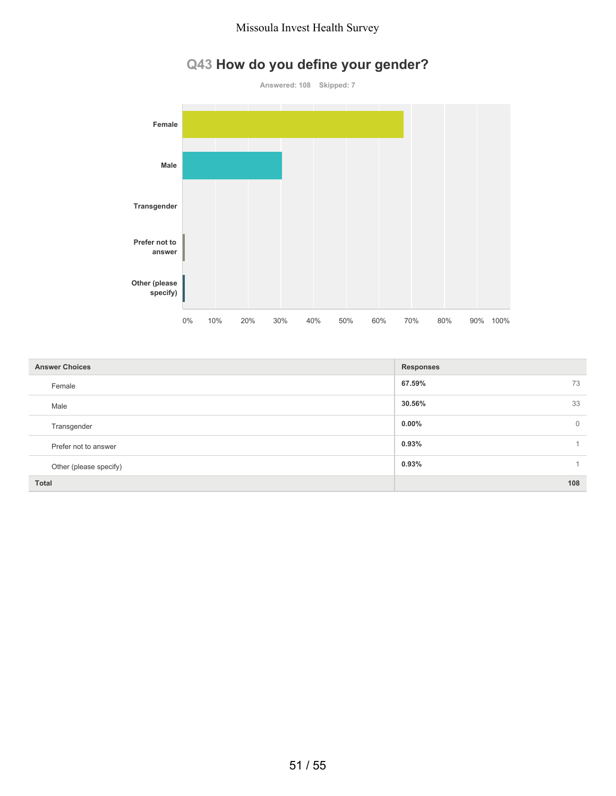# **Q43 How do you define your gender?**



| <b>Answer Choices</b>  | <b>Responses</b>         |
|------------------------|--------------------------|
| Female                 | 73<br>67.59%             |
| Male                   | 33<br>30.56%             |
| Transgender            | $0.00\%$<br>$\mathbf{0}$ |
| Prefer not to answer   | 0.93%                    |
| Other (please specify) | 0.93%<br>1.              |
| <b>Total</b>           | 108                      |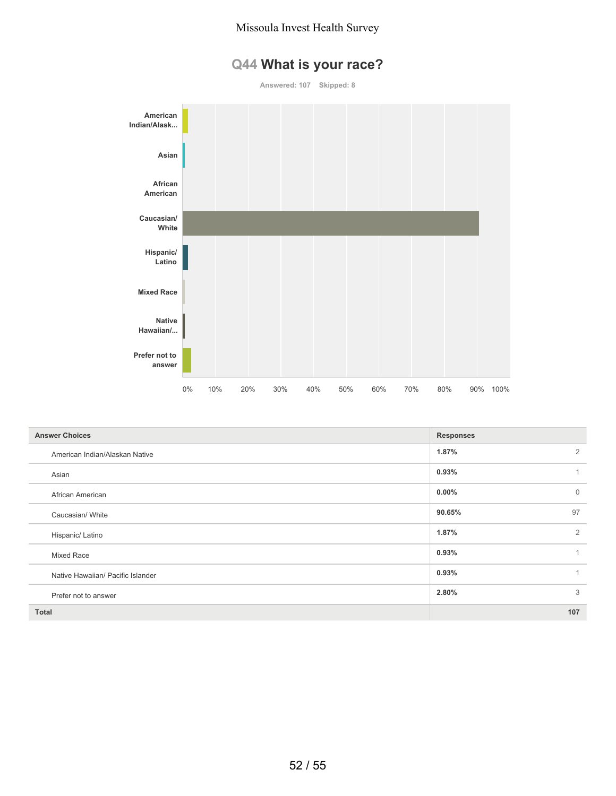# **Q44 What is your race?**

**Answered: 107 Skipped: 8**



| <b>Answer Choices</b>             | <b>Responses</b>        |
|-----------------------------------|-------------------------|
| American Indian/Alaskan Native    | $\overline{2}$<br>1.87% |
| Asian                             | 0.93%<br>$\mathbf{1}$   |
| African American                  | $\mathbf 0$<br>$0.00\%$ |
| Caucasian/ White                  | 97<br>90.65%            |
| Hispanic/ Latino                  | 2<br>1.87%              |
| Mixed Race                        | 0.93%<br>1              |
| Native Hawaiian/ Pacific Islander | 0.93%<br>$\overline{1}$ |
| Prefer not to answer              | 3<br>2.80%              |
| <b>Total</b>                      | 107                     |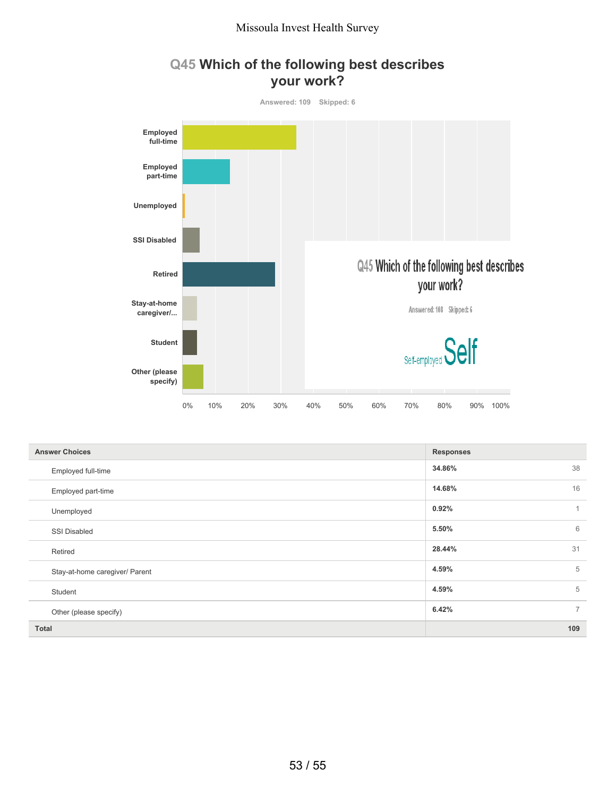



| <b>Answer Choices</b>          | <b>Responses</b>        |
|--------------------------------|-------------------------|
| Employed full-time             | 34.86%<br>38            |
| Employed part-time             | 16<br>14.68%            |
| Unemployed                     | 0.92%                   |
| <b>SSI Disabled</b>            | 6<br>5.50%              |
| Retired                        | 31<br>28.44%            |
| Stay-at-home caregiver/ Parent | 5<br>4.59%              |
| Student                        | 5<br>4.59%              |
| Other (please specify)         | $\overline{7}$<br>6.42% |
| <b>Total</b>                   | 109                     |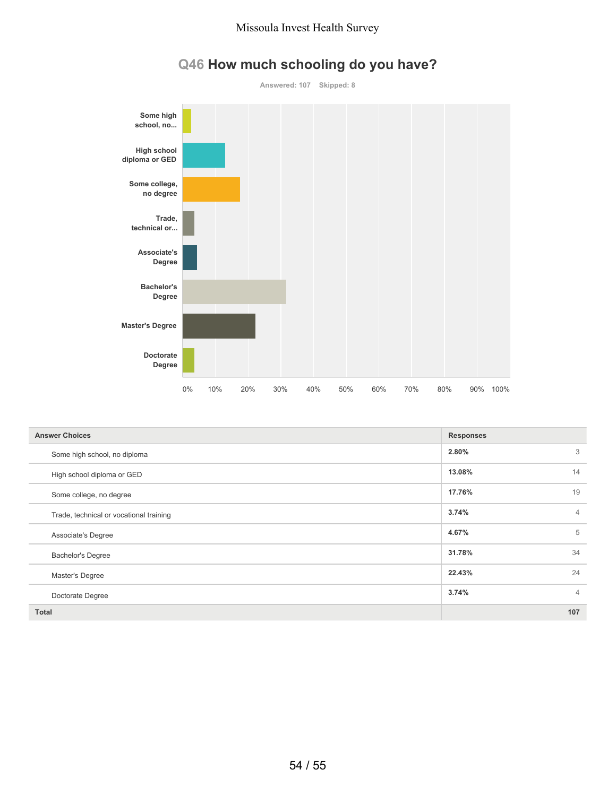

# **Q46 How much schooling do you have?**

| <b>Answer Choices</b>                   | <b>Responses</b>        |
|-----------------------------------------|-------------------------|
| Some high school, no diploma            | 3<br>2.80%              |
| High school diploma or GED              | 14<br>13.08%            |
| Some college, no degree                 | 17.76%<br>19            |
| Trade, technical or vocational training | 3.74%<br>$\overline{4}$ |
| Associate's Degree                      | 5<br>4.67%              |
| <b>Bachelor's Degree</b>                | 34<br>31.78%            |
| Master's Degree                         | 24<br>22.43%            |
| Doctorate Degree                        | 3.74%<br>$\overline{4}$ |
| <b>Total</b>                            | 107                     |